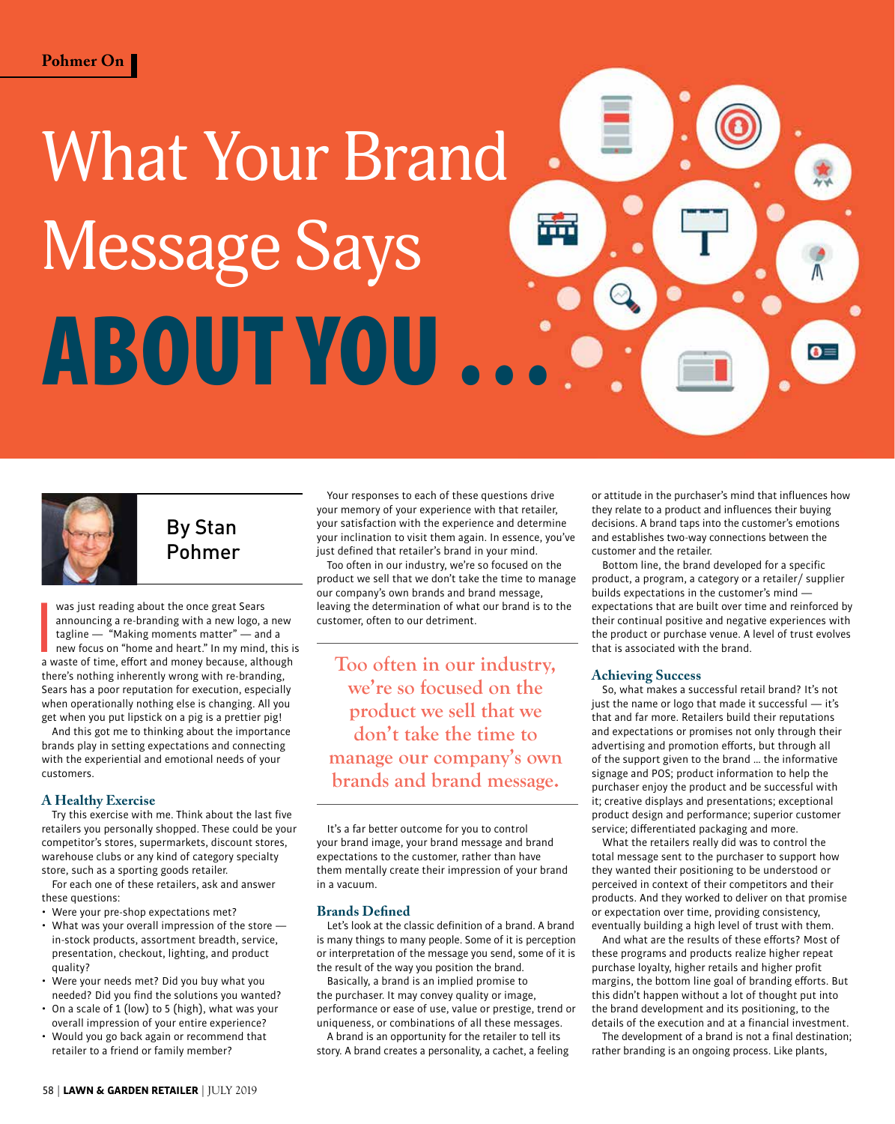#### **Pohmer On**

# What Your Brand Message Says **THEF** ABOUT YOU



### By Stan Pohmer

was just reading about the once great Sears<br>announcing a re-branding with a new logo, a new<br>tagline — "Making moments matter" — and a<br>new focus on "home and heart." In my mind, this is<br>a waste of time, effort and money bec was just reading about the once great Sears announcing a re-branding with a new logo, a new tagline — "Making moments matter" — and a new focus on "home and heart." In my mind, this is there's nothing inherently wrong with re-branding, Sears has a poor reputation for execution, especially when operationally nothing else is changing. All you get when you put lipstick on a pig is a prettier pig!

And this got me to thinking about the importance brands play in setting expectations and connecting with the experiential and emotional needs of your customers.

#### **A Healthy Exercise**

Try this exercise with me. Think about the last five retailers you personally shopped. These could be your competitor's stores, supermarkets, discount stores, warehouse clubs or any kind of category specialty store, such as a sporting goods retailer.

For each one of these retailers, ask and answer these questions:

- Were your pre-shop expectations met?
- What was your overall impression of the store  $$ in-stock products, assortment breadth, service, presentation, checkout, lighting, and product quality?
- Were your needs met? Did you buy what you needed? Did you find the solutions you wanted?
- On a scale of 1 (low) to 5 (high), what was your overall impression of your entire experience?
- Would you go back again or recommend that retailer to a friend or family member?

Your responses to each of these questions drive your memory of your experience with that retailer, your satisfaction with the experience and determine your inclination to visit them again. In essence, you've just defined that retailer's brand in your mind.

Too often in our industry, we're so focused on the product we sell that we don't take the time to manage our company's own brands and brand message, leaving the determination of what our brand is to the customer, often to our detriment.

**Too often in our industry, we're so focused on the product we sell that we don't take the time to manage our company's own brands and brand message.**

It's a far better outcome for you to control your brand image, your brand message and brand expectations to the customer, rather than have them mentally create their impression of your brand in a vacuum.

#### **Brands Defined**

Let's look at the classic definition of a brand. A brand is many things to many people. Some of it is perception or interpretation of the message you send, some of it is the result of the way you position the brand.

Basically, a brand is an implied promise to the purchaser. It may convey quality or image, performance or ease of use, value or prestige, trend or uniqueness, or combinations of all these messages.

A brand is an opportunity for the retailer to tell its story. A brand creates a personality, a cachet, a feeling or attitude in the purchaser's mind that influences how they relate to a product and influences their buying decisions. A brand taps into the customer's emotions and establishes two-way connections between the customer and the retailer.

 $\bullet =$ 

Bottom line, the brand developed for a specific product, a program, a category or a retailer/ supplier builds expectations in the customer's mind expectations that are built over time and reinforced by their continual positive and negative experiences with the product or purchase venue. A level of trust evolves that is associated with the brand.

#### **Achieving Success**

So, what makes a successful retail brand? It's not just the name or logo that made it successful - it's that and far more. Retailers build their reputations and expectations or promises not only through their advertising and promotion efforts, but through all of the support given to the brand … the informative signage and POS; product information to help the purchaser enjoy the product and be successful with it; creative displays and presentations; exceptional product design and performance; superior customer service; differentiated packaging and more.

What the retailers really did was to control the total message sent to the purchaser to support how they wanted their positioning to be understood or perceived in context of their competitors and their products. And they worked to deliver on that promise or expectation over time, providing consistency, eventually building a high level of trust with them.

And what are the results of these efforts? Most of these programs and products realize higher repeat purchase loyalty, higher retails and higher profit margins, the bottom line goal of branding efforts. But this didn't happen without a lot of thought put into the brand development and its positioning, to the details of the execution and at a financial investment.

The development of a brand is not a final destination; rather branding is an ongoing process. Like plants,